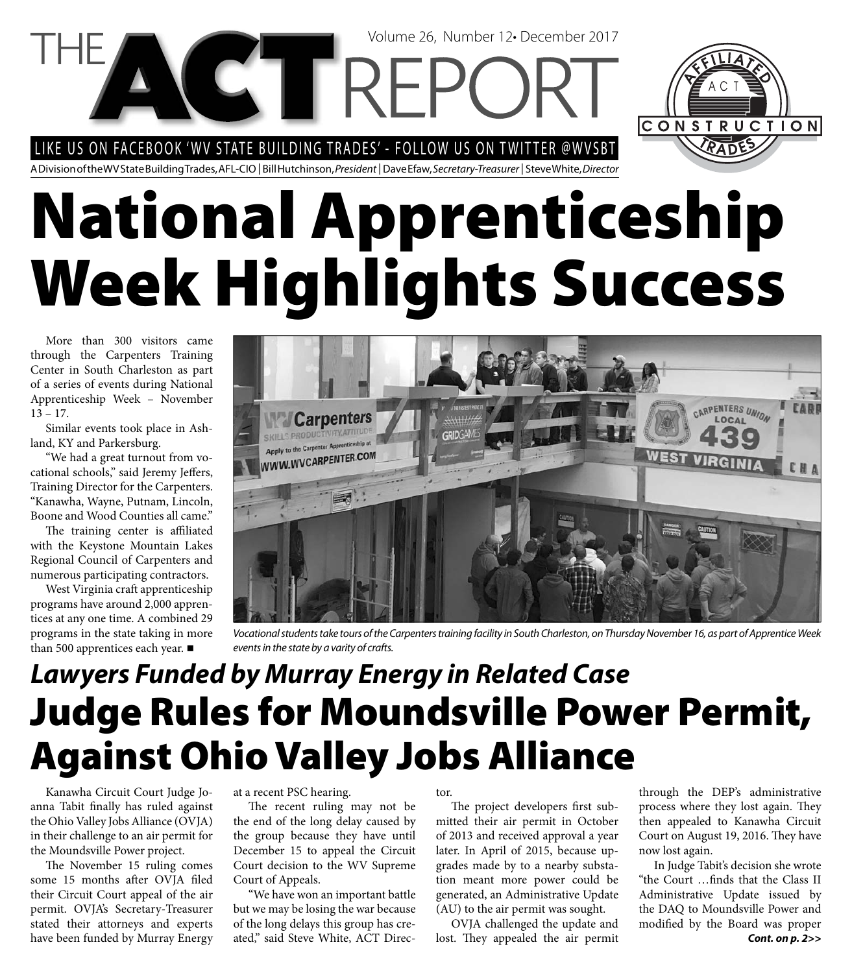LIKE US ON FACEBOOK 'WV STATE BUILDING TRADES' - FOLLOW US ON TWITTER @WVSBT

**CTTRE** 

A Division of the WV State Building Trades, AFL-CIO | Bill Hutchinson, President | Dave Efaw, Secretary-Treasurer | Steve White, Director

# **National Apprenticeship Week Highlights Success**

More than 300 visitors came through the Carpenters Training Center in South Charleston as part of a series of events during National Apprenticeship Week – November 13 – 17.

Similar events took place in Ashland, KY and Parkersburg.

"We had a great turnout from vocational schools," said Jeremy Jeffers, Training Director for the Carpenters. "Kanawha, Wayne, Putnam, Lincoln, Boone and Wood Counties all came."

The training center is affiliated with the Keystone Mountain Lakes Regional Council of Carpenters and numerous participating contractors.

West Virginia craft apprenticeship programs have around 2,000 apprentices at any one time. A combined 29 programs in the state taking in more than 500 apprentices each year. ■

CARPENTERS UNION **Carpenters** LOCAL S. PRODUCTIVITY, ATTITUI to the Carpenter Apprenticeship at WWW.WVCARPENTER.COM WEST

Volume 26, Number 12• December 2017

Vocational students take tours of the Carpenters training facility in South Charleston, on Thursday November 16, as part of Apprentice Week events in the state by a varity of crafts.

### **Judge Rules for Moundsville Power Permit, Against Ohio Valley Jobs Alliance** *Lawyers Funded by Murray Energy in Related Case*

Kanawha Circuit Court Judge Joanna Tabit finally has ruled against the Ohio Valley Jobs Alliance (OVJA) in their challenge to an air permit for the Moundsville Power project.

The November 15 ruling comes some 15 months after OVJA filed their Circuit Court appeal of the air permit. OVJA's Secretary-Treasurer stated their attorneys and experts have been funded by Murray Energy

at a recent PSC hearing.

The recent ruling may not be the end of the long delay caused by the group because they have until December 15 to appeal the Circuit Court decision to the WV Supreme Court of Appeals.

"We have won an important battle but we may be losing the war because of the long delays this group has created," said Steve White, ACT Director.

The project developers first submitted their air permit in October of 2013 and received approval a year later. In April of 2015, because upgrades made by to a nearby substation meant more power could be generated, an Administrative Update (AU) to the air permit was sought.

OVJA challenged the update and lost. They appealed the air permit through the DEP's administrative process where they lost again. They then appealed to Kanawha Circuit Court on August 19, 2016. They have now lost again.

In Judge Tabit's decision she wrote "the Court ...finds that the Class II Administrative Update issued by the DAQ to Moundsville Power and modified by the Board was proper *Cont. on p. 2>>*

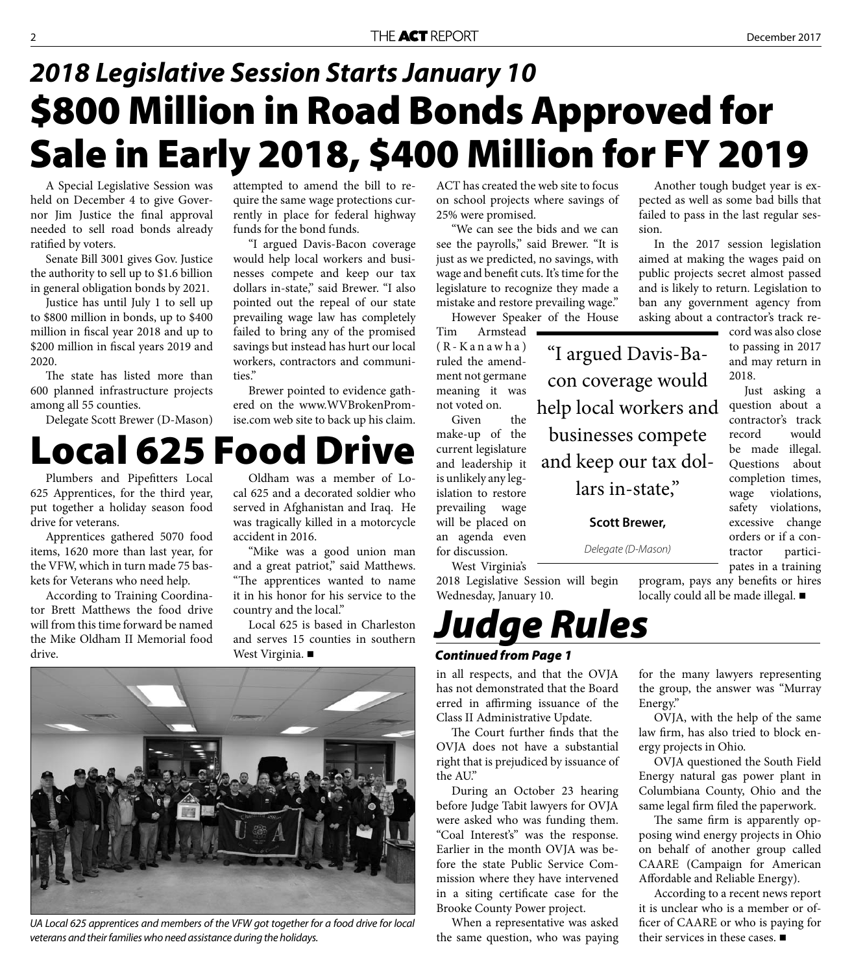#### **\$800 Million in Road Bonds Approved for Sale in Early 2018, \$400 Million for FY 2019** *2018 Legislative Session Starts January 10*

A Special Legislative Session was held on December 4 to give Governor Jim Justice the final approval needed to sell road bonds already ratified by voters.

Senate Bill 3001 gives Gov. Justice the authority to sell up to \$1.6 billion in general obligation bonds by 2021.

Justice has until July 1 to sell up to \$800 million in bonds, up to \$400 million in fiscal year 2018 and up to \$200 million in fiscal years 2019 and 2020.

The state has listed more than 600 planned infrastructure projects among all 55 counties.

Delegate Scott Brewer (D-Mason)

attempted to amend the bill to require the same wage protections currently in place for federal highway funds for the bond funds.

"I argued Davis-Bacon coverage would help local workers and businesses compete and keep our tax dollars in-state," said Brewer. "I also pointed out the repeal of our state prevailing wage law has completely failed to bring any of the promised savings but instead has hurt our local workers, contractors and communities."

Brewer pointed to evidence gathered on the www.WVBrokenPromise.com web site to back up his claim.

#### **Local 625 Food Drive**

Plumbers and Pipefitters Local 625 Apprentices, for the third year, put together a holiday season food drive for veterans.

Apprentices gathered 5070 food items, 1620 more than last year, for the VFW, which in turn made 75 baskets for Veterans who need help.

According to Training Coordinator Brett Matthews the food drive will from this time forward be named the Mike Oldham II Memorial food drive.

Oldham was a member of Local 625 and a decorated soldier who served in Afghanistan and Iraq. He was tragically killed in a motorcycle accident in 2016.

"Mike was a good union man and a great patriot," said Matthews. "The apprentices wanted to name it in his honor for his service to the country and the local."

Local 625 is based in Charleston and serves 15 counties in southern West Virginia. ■



UA Local 625 apprentices and members of the VFW got together for a food drive for local veterans and their families who need assistance during the holidays.

ACT has created the web site to focus on school projects where savings of 25% were promised.

"We can see the bids and we can see the payrolls," said Brewer. "It is just as we predicted, no savings, with wage and benefit cuts. It's time for the legislature to recognize they made a mistake and restore prevailing wage."

However Speaker of the House

"I argued Davis-Ba-

con coverage would

help local workers and

businesses compete

lars in-state,"

**Scott Brewer,** 

Delegate (D-Mason)

Tim Armstead  $(R-Kanawha)$ ruled the amendment not germane meaning it was not voted on.

Given the make-up of the current legislature and leadership it is unlikely any legislation to restore prevailing wage will be placed on an agenda even for discussion. and keep our tax dol-

West Virginia's 2018 Legislative Session will begin Wednesday, January 10.

#### *Judge Rules*

#### *Continued from Page 1*

in all respects, and that the OVJA has not demonstrated that the Board erred in affirming issuance of the Class II Administrative Update.

The Court further finds that the OVJA does not have a substantial right that is prejudiced by issuance of the AU."

During an October 23 hearing before Judge Tabit lawyers for OVJA were asked who was funding them. "Coal Interest's" was the response. Earlier in the month OVJA was before the state Public Service Commission where they have intervened in a siting certificate case for the Brooke County Power project.

When a representative was asked the same question, who was paying

Another tough budget year is expected as well as some bad bills that failed to pass in the last regular session.

In the 2017 session legislation aimed at making the wages paid on public projects secret almost passed and is likely to return. Legislation to ban any government agency from asking about a contractor's track re-

cord was also close to passing in 2017 and may return in 2018. Just asking a

question about a contractor's track record would be made illegal. Questions about completion times, wage violations, safety violations, excessive change orders or if a contractor participates in a training

program, pays any benefits or hires locally could all be made illegal.

for the many lawyers representing the group, the answer was "Murray Energy."

OVJA, with the help of the same law firm, has also tried to block energy projects in Ohio.

OVJA questioned the South Field Energy natural gas power plant in Columbiana County, Ohio and the same legal firm filed the paperwork.

The same firm is apparently opposing wind energy projects in Ohio on behalf of another group called CAARE (Campaign for American Affordable and Reliable Energy).

According to a recent news report it is unclear who is a member or officer of CAARE or who is paying for their services in these cases. ■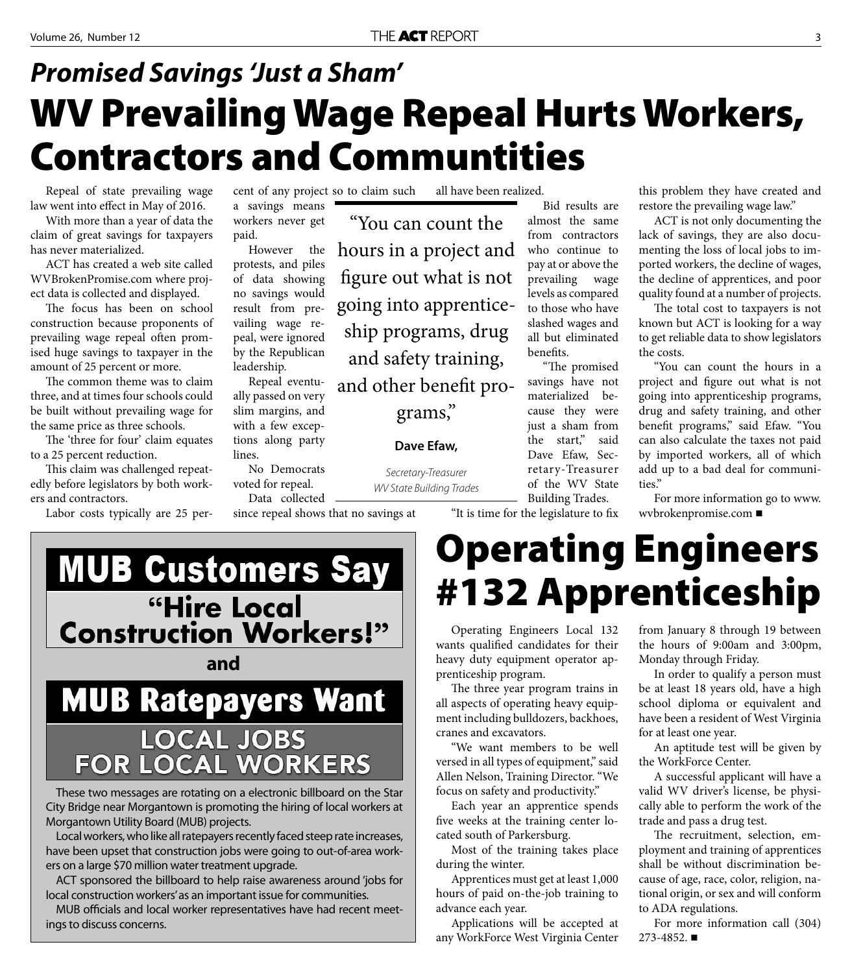### **WV Prevailing Wage Repeal Hurts Workers, Contractors and Communtities** *Promised Savings 'Just a Sham'*

Repeal of state prevailing wage law went into effect in May of 2016.

With more than a year of data the claim of great savings for taxpayers has never materialized.

ACT has created a web site called WVBrokenPromise.com where project data is collected and displayed.

The focus has been on school construction because proponents of prevailing wage repeal often promised huge savings to taxpayer in the amount of 25 percent or more.

The common theme was to claim three, and at times four schools could be built without prevailing wage for the same price as three schools.

The 'three for four' claim equates to a 25 percent reduction.

This claim was challenged repeatedly before legislators by both workers and contractors.

Labor costs typically are 25 per-

cent of any project so to claim such a savings means workers never get paid.

However the protests, and piles of data showing no savings would result from prevailing wage repeal, were ignored by the Republican leadership.

Repeal eventually passed on very slim margins, and with a few exceptions along party lines.

No Democrats voted for repeal.

since repeal shows that no savings at

"You can count the hours in a project and figure out what is not going into apprenticeship programs, drug and safety training, and other benefit pro-

grams,"

Secretary-Treasurer

**Dave Efaw,** 

all have been realized.

Bid results are almost the same from contractors who continue to pay at or above the prevailing wage levels as compared to those who have slashed wages and all but eliminated benefits.

"The promised savings have not materialized because they were just a sham from the start," said Dave Efaw, Secretary-Treasurer of the WV State Building Trades.

"It is time for the legislature to fix

this problem they have created and restore the prevailing wage law."

ACT is not only documenting the lack of savings, they are also documenting the loss of local jobs to imported workers, the decline of wages, the decline of apprentices, and poor quality found at a number of projects.

The total cost to taxpayers is not known but ACT is looking for a way to get reliable data to show legislators the costs.

"You can count the hours in a project and figure out what is not going into apprenticeship programs, drug and safety training, and other benefit programs," said Efaw. "You can also calculate the taxes not paid by imported workers, all of which add up to a bad deal for communities."

For more information go to www. wvbrokenpromise.com

#### **MUB Customers Say** "Hire Local **Construction Workers!" andMUB Ratepayers Want** LOCAL JOBS<br>FOR LOCAL WORKERS

These two messages are rotating on a electronic billboard on the Star City Bridge near Morgantown is promoting the hiring of local workers at Morgantown Utility Board (MUB) projects.

Local workers, who like all ratepayers recently faced steep rate increases, have been upset that construction jobs were going to out-of-area workers on a large \$70 million water treatment upgrade.

ACT sponsored the billboard to help raise awareness around 'jobs for local construction workers' as an important issue for communities.

MUB officials and local worker representatives have had recent meetings to discuss concerns.

### **Operating Engineers #132 Apprenticeship**

Operating Engineers Local 132 wants qualified candidates for their heavy duty equipment operator apprenticeship program.

The three year program trains in all aspects of operating heavy equipment including bulldozers, backhoes, cranes and excavators.

"We want members to be well versed in all types of equipment," said Allen Nelson, Training Director. "We focus on safety and productivity."

Each year an apprentice spends five weeks at the training center located south of Parkersburg.

Most of the training takes place during the winter.

Apprentices must get at least 1,000 hours of paid on-the-job training to advance each year.

Applications will be accepted at any WorkForce West Virginia Center

from January 8 through 19 between the hours of 9:00am and 3:00pm, Monday through Friday.

In order to qualify a person must be at least 18 years old, have a high school diploma or equivalent and have been a resident of West Virginia for at least one year.

An aptitude test will be given by the WorkForce Center.

A successful applicant will have a valid WV driver's license, be physically able to perform the work of the trade and pass a drug test.

The recruitment, selection, employment and training of apprentices shall be without discrimination because of age, race, color, religion, national origin, or sex and will conform to ADA regulations.

For more information call (304) 273-4852.

Data collected WV State Building Trades